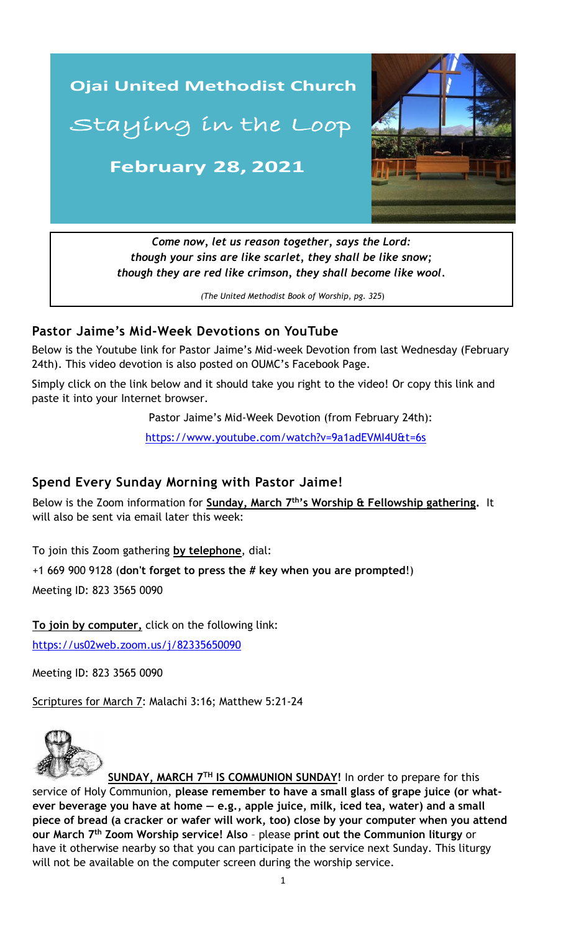

*(The United Methodist Book of Worship, pg. 325*)

## **Pastor Jaime's Mid-Week Devotions on YouTube**

Below is the Youtube link for Pastor Jaime's Mid-week Devotion from last Wednesday (February 24th). This video devotion is also posted on OUMC's Facebook Page.

Simply click on the link below and it should take you right to the video! Or copy this link and paste it into your Internet browser.

Pastor Jaime's Mid-Week Devotion (from February 24th):

<https://www.youtube.com/watch?v=9a1adEVMI4U&t=6s>

### **Spend Every Sunday Morning with Pastor Jaime!**

Below is the Zoom information for **Sunday, March 7<sup>th</sup>'s Worship & Fellowship gathering.** It will also be sent via email later this week:

To join this Zoom gathering **by telephone**, dial:

+1 669 900 9128 (**don't forget to press the # key when you are prompted**!)

Meeting ID: 823 3565 0090

**To join by computer,** click on the following link: <https://us02web.zoom.us/j/82335650090>

Meeting ID: 823 3565 0090

Scriptures for March 7: Malachi 3:16; Matthew 5:21-24



**SUNDAY, MARCH 7 TH IS COMMUNION SUNDAY!** In order to prepare for this service of Holy Communion, **please remember to have a small glass of grape juice (or whatever beverage you have at home — e.g., apple juice, milk, iced tea, water) and a small piece of bread (a cracker or wafer will work, too) close by your computer when you attend our March 7 th Zoom Worship service! Also** – please **print out the Communion liturgy** or have it otherwise nearby so that you can participate in the service next Sunday. This liturgy will not be available on the computer screen during the worship service.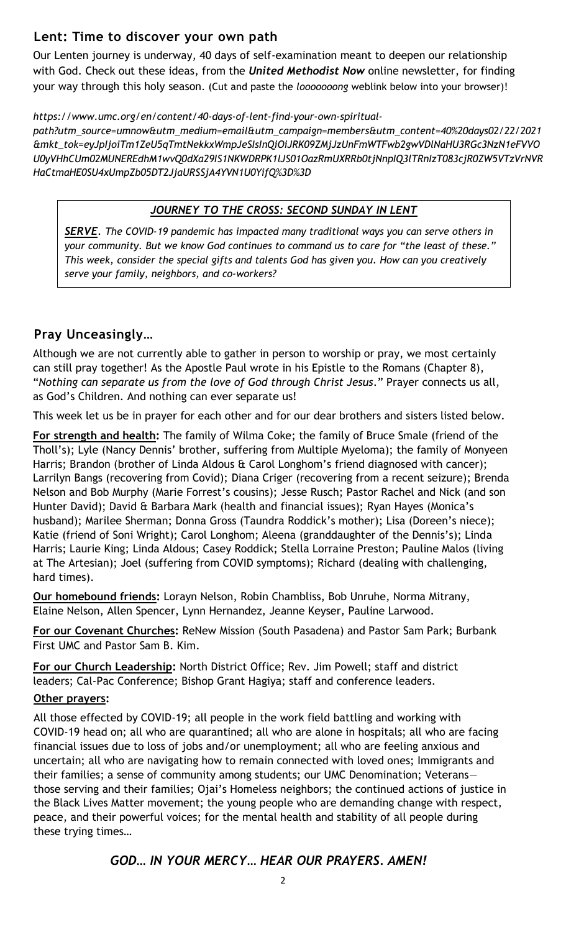# **Lent: Time to discover your own path**

Our Lenten journey is underway, 40 days of self-examination meant to deepen our relationship with God. Check out these ideas, from the *United Methodist Now* online newsletter, for finding your way through this holy season. (Cut and paste the *looooooong* weblink below into your browser)!

#### *https://www.umc.org/en/content/40-days-of-lent-find-your-own-spiritual-*

*path?utm\_source=umnow&utm\_medium=email&utm\_campaign=members&utm\_content=40%20days02/22/2021 &mkt\_tok=eyJpIjoiTm1ZeU5qTmtNekkxWmpJeSIsInQiOiJRK09ZMjJzUnFmWTFwb2gwVDlNaHU3RGc3NzN1eFVVO U0yVHhCUm02MUNEREdhM1wvQ0dXa29IS1NKWDRPK1lJS01OazRmUXRRb0tjNnpIQ3lTRnIzT083cjR0ZW5VTzVrNVR HaCtmaHE0SU4xUmpZb05DT2JjaURSSjA4YVN1U0YifQ%3D%3D*

### *JOURNEY TO THE CROSS: SECOND SUNDAY IN LENT*

*SERVE. The COVID-19 pandemic has impacted many traditional ways you can serve others in your community. But we know God continues to command us to care for "the least of these." This week, consider the special gifts and talents God has given you. How can you creatively serve your family, neighbors, and co-workers?*

# **Pray Unceasingly…**

Although we are not currently able to gather in person to worship or pray, we most certainly can still pray together! As the Apostle Paul wrote in his Epistle to the Romans (Chapter 8), "*Nothing can separate us from the love of God through Christ Jesus*." Prayer connects us all, as God's Children. And nothing can ever separate us!

This week let us be in prayer for each other and for our dear brothers and sisters listed below.

**For strength and health:** The family of Wilma Coke; the family of Bruce Smale (friend of the Tholl's); Lyle (Nancy Dennis' brother, suffering from Multiple Myeloma); the family of Monyeen Harris; Brandon (brother of Linda Aldous & Carol Longhom's friend diagnosed with cancer); Larrilyn Bangs (recovering from Covid); Diana Criger (recovering from a recent seizure); Brenda Nelson and Bob Murphy (Marie Forrest's cousins); Jesse Rusch; Pastor Rachel and Nick (and son Hunter David); David & Barbara Mark (health and financial issues); Ryan Hayes (Monica's husband); Marilee Sherman; Donna Gross (Taundra Roddick's mother); Lisa (Doreen's niece); Katie (friend of Soni Wright); Carol Longhom; Aleena (granddaughter of the Dennis's); Linda Harris; Laurie King; Linda Aldous; Casey Roddick; Stella Lorraine Preston; Pauline Malos (living at The Artesian); Joel (suffering from COVID symptoms); Richard (dealing with challenging, hard times).

**Our homebound friends:** Lorayn Nelson, Robin Chambliss, Bob Unruhe, Norma Mitrany, Elaine Nelson, Allen Spencer, Lynn Hernandez, Jeanne Keyser, Pauline Larwood.

**For our Covenant Churches:** ReNew Mission (South Pasadena) and Pastor Sam Park; Burbank First UMC and Pastor Sam B. Kim.

**For our Church Leadership:** North District Office; Rev. Jim Powell; staff and district leaders; Cal-Pac Conference; Bishop Grant Hagiya; staff and conference leaders.

#### **Other prayers:**

\_\_\_\_\_\_\_\_\_\_\_\_\_\_\_\_\_\_\_\_\_\_\_\_\_\_\_\_\_\_\_\_\_\_\_\_\_\_\_\_\_\_\_\_\_\_\_\_\_\_\_\_\_\_\_\_\_\_\_\_\_\_ those serving and their families; Ojai's Homeless neighbors; the continued actions of justice in All those effected by COVID-19; all people in the work field battling and working with COVID-19 head on; all who are quarantined; all who are alone in hospitals; all who are facing financial issues due to loss of jobs and/or unemployment; all who are feeling anxious and uncertain; all who are navigating how to remain connected with loved ones; Immigrants and their families; a sense of community among students; our UMC Denomination; Veterans the Black Lives Matter movement; the young people who are demanding change with respect, peace, and their powerful voices; for the mental health and stability of all people during these trying times…

## *GOD… IN YOUR MERCY… HEAR OUR PRAYERS. AMEN!*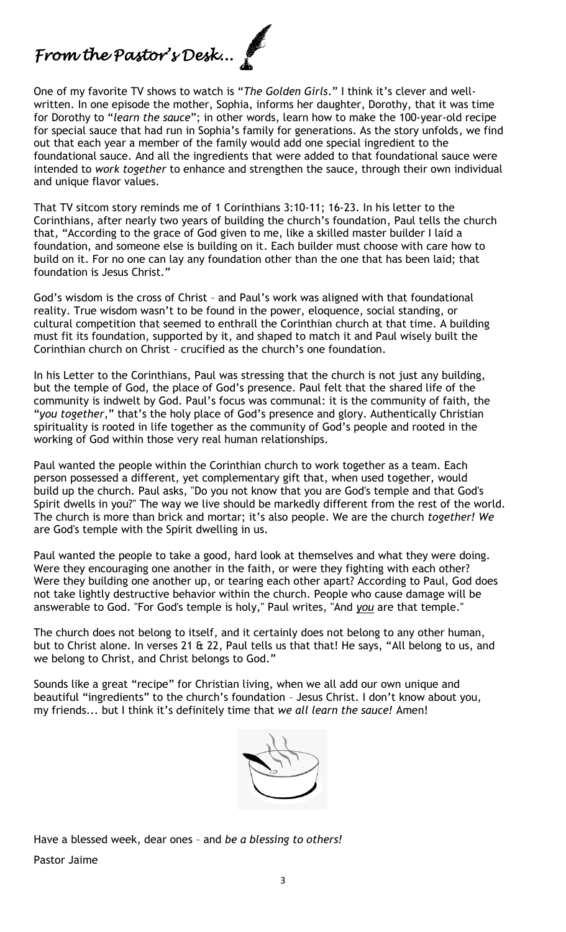*From the Pastor's Desk...* 

One of my favorite TV shows to watch is "*The Golden Girls*." I think it's clever and wellwritten. In one episode the mother, Sophia, informs her daughter, Dorothy, that it was time for Dorothy to "*learn the sauce*"; in other words, learn how to make the 100-year-old recipe for special sauce that had run in Sophia's family for generations. As the story unfolds, we find out that each year a member of the family would add one special ingredient to the foundational sauce. And all the ingredients that were added to that foundational sauce were intended to *work together* to enhance and strengthen the sauce, through their own individual and unique flavor values.

That TV sitcom story reminds me of 1 Corinthians 3:10-11; 16-23. In his letter to the Corinthians, after nearly two years of building the church's foundation, Paul tells the church that, "According to the grace of God given to me, like a skilled master builder I laid a foundation, and someone else is building on it. Each builder must choose with care how to build on it. For no one can lay any foundation other than the one that has been laid; that foundation is Jesus Christ."

God's wisdom is the cross of Christ – and Paul's work was aligned with that foundational reality. True wisdom wasn't to be found in the power, eloquence, social standing, or cultural competition that seemed to enthrall the Corinthian church at that time. A building must fit its foundation, supported by it, and shaped to match it and Paul wisely built the Corinthian church on Christ - crucified as the church's one foundation.

In his Letter to the Corinthians, Paul was stressing that the church is not just any building, but the temple of God, the place of God's presence. Paul felt that the shared life of the community is indwelt by God. Paul's focus was communal: it is the community of faith, the "*you together*," that's the holy place of God's presence and glory. Authentically Christian spirituality is rooted in life together as the community of God's people and rooted in the working of God within those very real human relationships.

Paul wanted the people within the Corinthian church to work together as a team. Each person possessed a different, yet complementary gift that, when used together, would build up the church. Paul asks, "Do you not know that you are God's temple and that God's Spirit dwells in you?" The way we live should be markedly different from the rest of the world. The church is more than brick and mortar; it's also people. We are the church *together! We* are God's temple with the Spirit dwelling in us.

Paul wanted the people to take a good, hard look at themselves and what they were doing. Were they encouraging one another in the faith, or were they fighting with each other? Were they building one another up, or tearing each other apart? According to Paul, God does not take lightly destructive behavior within the church. People who cause damage will be answerable to God. "For God's temple is holy," Paul writes, "And *you* are that temple."

The church does not belong to itself, and it certainly does not belong to any other human, but to Christ alone. In verses 21 & 22, Paul tells us that that! He says, "All belong to us, and we belong to Christ, and Christ belongs to God."

Sounds like a great "recipe" for Christian living, when we all add our own unique and beautiful "ingredients" to the church's foundation – Jesus Christ. I don't know about you, my friends... but I think it's definitely time that *we all learn the sauce!* Amen!



Have a blessed week, dear ones – and *be a blessing to others!* Pastor Jaime